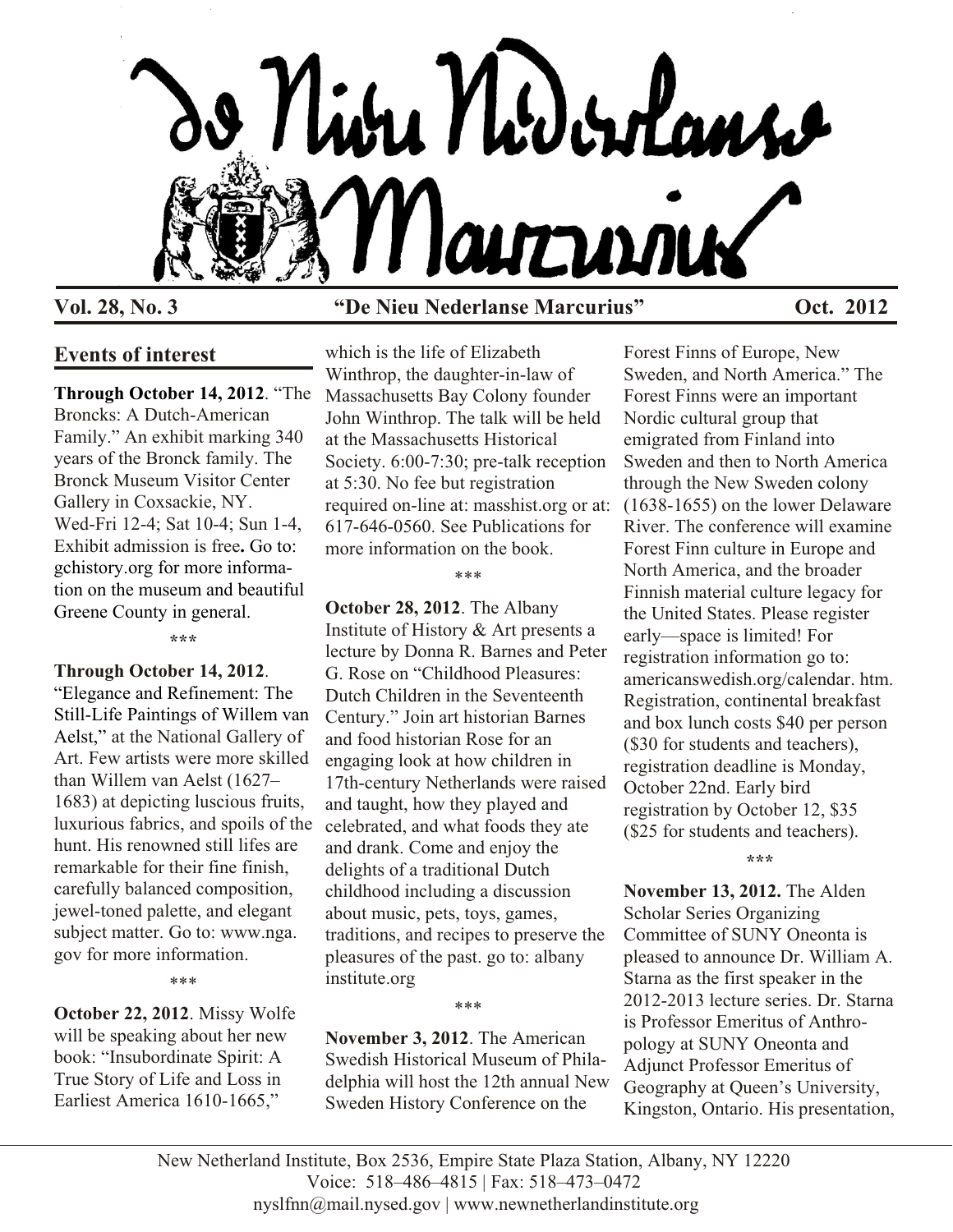

# **Vol. 28, No. 3 "De Nieu Nederlanse Marcurius" Oct. 2012**

# **Events of interest**

**Through October 14, 2012**. "The Broncks: A Dutch-American Family." An exhibit marking 340 years of the Bronck family. The Bronck Museum Visitor Center Gallery in Coxsackie, NY. Wed-Fri 12-4; Sat 10-4; Sun 1-4, Exhibit admission is free**.** Go to: gchistory.org for more information on the museum and beautiful Greene County in general.

**\*\*\***

## **Through October 14, 2012**.

"Elegance and Refinement: The Still-Life Paintings of Willem van Aelst," at the National Gallery of Art. Few artists were more skilled than Willem van Aelst (1627– 1683) at depicting luscious fruits, luxurious fabrics, and spoils of the hunt. His renowned still lifes are remarkable for their fine finish, carefully balanced composition, jewel-toned palette, and elegant subject matter. Go to: www.nga. gov for more information.

\*\*\*

**October 22, 2012**. Missy Wolfe will be speaking about her new book: "Insubordinate Spirit: A True Story of Life and Loss in Earliest America 1610-1665,"

which is the life of Elizabeth Winthrop, the daughter-in-law of Massachusetts Bay Colony founder John Winthrop. The talk will be held at the Massachusetts Historical Society. 6:00-7:30; pre-talk reception at 5:30. No fee but registration required on-line at: masshist.org or at: 617-646-0560. See Publications for more information on the book.

#### \*\*\*

**October 28, 2012**. The Albany Institute of History & Art presents a lecture by Donna R. Barnes and Peter G. Rose on "Childhood Pleasures: Dutch Children in the Seventeenth Century." Join art historian Barnes and food historian Rose for an engaging look at how children in 17th-century Netherlands were raised and taught, how they played and celebrated, and what foods they ate and drank. Come and enjoy the delights of a traditional Dutch childhood including a discussion about music, pets, toys, games, traditions, and recipes to preserve the pleasures of the past. go to: albany institute.org

**November 3, 2012**. The American Swedish Historical Museum of Philadelphia will host the 12th annual New Sweden History Conference on the

\*\*\*

Forest Finns of Europe, New Sweden, and North America." The Forest Finns were an important Nordic cultural group that emigrated from Finland into Sweden and then to North America through the New Sweden colony  $(1638-1655)$  on the lower Delaware River. The conference will examine Forest Finn culture in Europe and North America, and the broader Finnish material culture legacy for the United States. Please register early—space is limited! For registration information go to: americanswedish.org/calendar. htm. Registration, continental break fast and box lunch costs \$40 per person (\$30 for students and teachers), registration deadline is Monday, October 22nd. Early bird registration by October 12, \$35 (\$25 for students and teachers).

**\*\*\***

**November 13, 2012.** The Alden Scholar Series Organizing Committee of SUNY Oneonta is pleased to announce Dr. William A. Starna as the first speaker in the 2012-2013 lecture series. Dr. Starna is Professor Emeritus of Anthropology at SUNY Oneonta and Adjunct Professor Emeritus of Geography at Queen's University, Kingston, Ontario. His presentation,

New Netherland Institute, Box 2536, Empire State Plaza Station, Albany, NY 12220 Voice: 518–486–4815 | Fax: 518–473–0472 nyslfnn@mail.nysed.gov | www.newnetherlandinstitute.org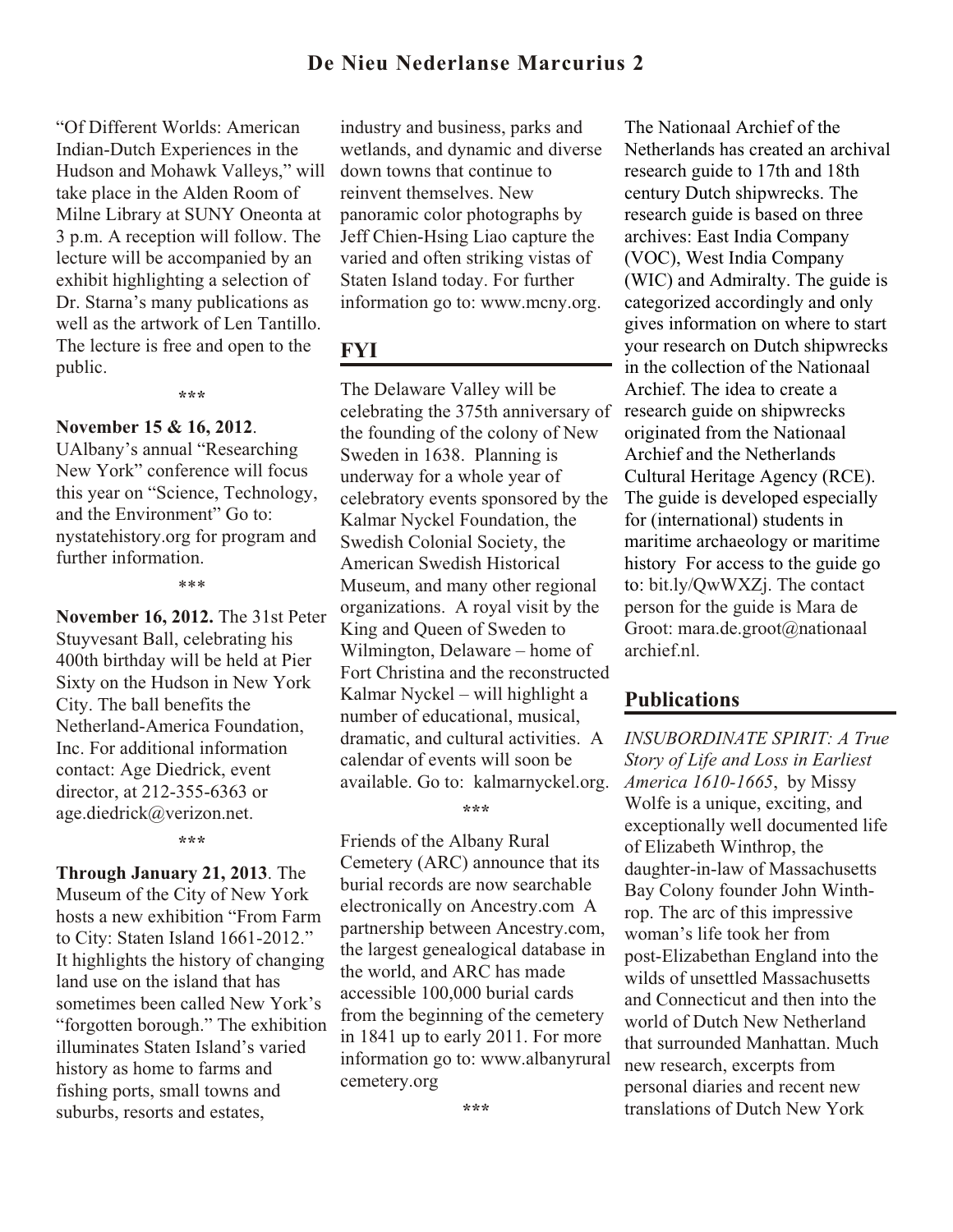## **De Nieu Nederlanse Marcurius 2**

"Of Different Worlds: American Indian-Dutch Experiences in the Hudson and Mohawk Valleys," will take place in the Alden Room of Milne Library at SUNY Oneonta at 3 p.m. A reception will follow. The lecture will be accompanied by an exhibit highlighting a selection of Dr. Starna's many publications as well as the artwork of Len Tantillo. The lecture is free and open to the public.

**\*\*\***

#### **November 15 & 16, 2012**.

UAlbany's annual "Researching New York" conference will focus this year on "Science, Technology, and the Environment" Go to: nystatehistory.org for program and further information.

\*\*\*

**November 16, 2012.** The 31st Peter Stuyvesant Ball, celebrating his 400th birthday will be held at Pier Sixty on the Hudson in New York City. The ball benefits the Netherland-America Foundation, Inc. For additional information contact: Age Diedrick, event director, at 212-355-6363 or age.diedrick@verizon.net.

**\*\*\***

**Through January 21, 2013**. The Museum of the City of New York hosts a new exhibition "From Farm to City: Staten Island 1661-2012." It highlights the history of changing land use on the island that has sometimes been called New York's "forgotten borough." The exhibition illuminates Staten Island's varied history as home to farms and fishing ports, small towns and suburbs, resorts and estates,

industry and business, parks and wetlands, and dynamic and diverse down towns that continue to reinvent themselves. New panoramic color photographs by Jeff Chien-Hsing Liao capture the varied and often striking vistas of Staten Island today. For further information go to: www.mcny.org.

## **FYI**

The Delaware Valley will be celebrating the 375th anniversary of the founding of the colony of New Sweden in 1638. Planning is underway for a whole year of celebratory events sponsored by the Kalmar Nyckel Foundation, the Swedish Colonial Society, the American Swedish Historical Museum, and many other regional organizations. A royal visit by the King and Queen of Sweden to Wilmington, Delaware – home of Fort Christina and the reconstructed Kalmar Nyckel – will highlight a number of educational, musical, dramatic, and cultural activities. A calendar of events will soon be available. Go to: kalmarnyckel.org.

**\*\*\***

Friends of the Albany Rural Cemetery (ARC) announce that its burial records are now searchable electronically on Ancestry.com A partnership between Ancestry.com, the largest genealogical database in the world, and ARC has made accessible 100,000 burial cards from the beginning of the cemetery in 1841 up to early 2011. For more information go to: www.albanyrural cemetery.org

**\*\*\***

The Nationaal Archief of the Netherlands has created an archival research guide to 17th and 18th century Dutch shipwrecks. The research guide is based on three archives: East India Company (VOC), West India Company (WIC) and Admiralty. The guide is categorized accordingly and only gives information on where to start your research on Dutch shipwrecks in the collection of the Nationaal Archief. The idea to create a research guide on shipwrecks originated from the Nationaal Archief and the Netherlands Cultural Heritage Agency (RCE). The guide is developed especially for (international) students in maritime archaeology or maritime history For access to the guide go to: bit.ly/QwWXZj. The contact person for the guide is Mara de Groot: mara.de.groot@nationaal archief.nl.

### **Publications**

*INSUBORDINATE SPIRIT: A True Story of Life and Loss in Earliest America 1610-1665*, by Missy Wolfe is a unique, exciting, and exceptionally well documented life of Elizabeth Winthrop, the daughter-in-law of Massachusetts Bay Colony founder John Winthrop. The arc of this impressive woman's life took her from post-Elizabethan England into the wilds of unsettled Massachusetts and Connecticut and then into the world of Dutch New Netherland that surrounded Manhattan. Much new research, excerpts from personal diaries and recent new translations of Dutch New York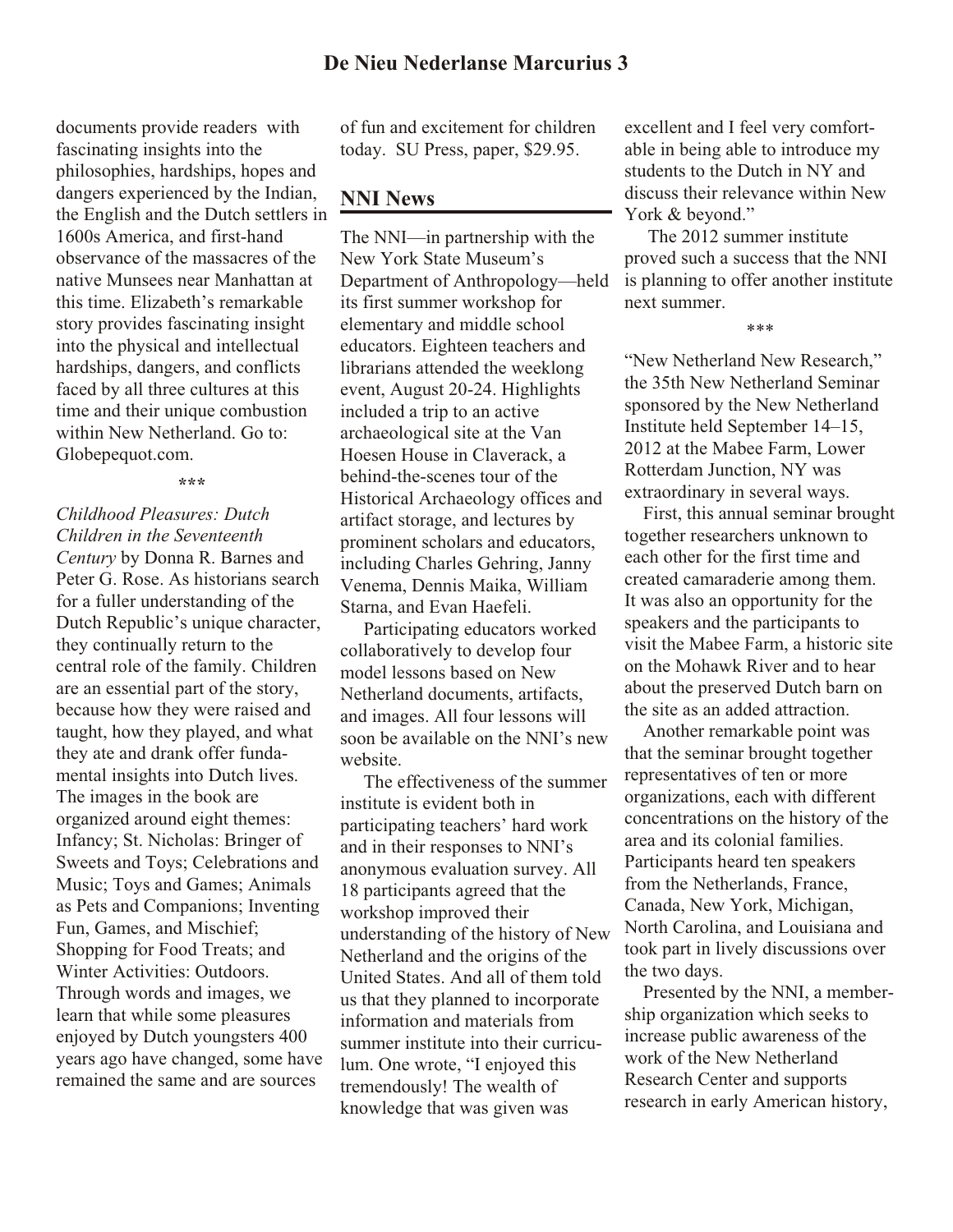documents provide readers with fascinating insights into the philosophies, hardships, hopes and dangers experienced by the Indian, the English and the Dutch settlers in 1600s America, and first-hand observance of the massacres of the native Munsees near Manhattan at this time. Elizabeth's remarkable story provides fascinating insight into the physical and intellectual hardships, dangers, and conflicts faced by all three cultures at this time and their unique combustion within New Netherland. Go to: Globepequot.com.

#### **\*\*\***

*Childhood Pleasures: Dutch Children in the Seventeenth Century* by Donna R. Barnes and Peter G. Rose. As historians search for a fuller understanding of the Dutch Republic's unique character, they continually return to the central role of the family. Children are an essential part of the story, because how they were raised and taught, how they played, and what they ate and drank offer fundamental insights into Dutch lives. The images in the book are organized around eight themes: Infancy; St. Nicholas: Bringer of Sweets and Toys; Celebrations and Music; Toys and Games; Animals as Pets and Companions; Inventing Fun, Games, and Mischief; Shopping for Food Treats; and Winter Activities: Outdoors. Through words and images, we learn that while some pleasures enjoyed by Dutch youngsters 400 years ago have changed, some have remained the same and are sources

of fun and excitement for children today. SU Press, paper, \$29.95.

## **NNI News**

The NNI—in partnership with the New York State Museum's Department of Anthropology—held its first summer workshop for elementary and middle school educators. Eighteen teachers and librarians attended the weeklong event, August 20-24. Highlights included a trip to an active archaeological site at the Van Hoesen House in Claverack, a behind-the-scenes tour of the Historical Archaeology offices and artifact storage, and lectures by prominent scholars and educators, including Charles Gehring, Janny Venema, Dennis Maika, William Starna, and Evan Haefeli.

 Participating educators worked collaboratively to develop four model lessons based on New Netherland documents, artifacts, and images. All four lessons will soon be available on the NNI's new website.

 The effectiveness of the summer institute is evident both in participating teachers' hard work and in their responses to NNI's anonymous evaluation survey. All 18 participants agreed that the workshop improved their understanding of the history of New Netherland and the origins of the United States. And all of them told us that they planned to incorporate information and materials from summer institute into their curriculum. One wrote, "I enjoyed this tremendously! The wealth of knowledge that was given was

excellent and I feel very comfortable in being able to introduce my students to the Dutch in NY and discuss their relevance within New York & beyond."

 The 2012 summer institute proved such a success that the NNI is planning to offer another institute next summer.

#### \*\*\*

"New Netherland New Research," the 35th New Netherland Seminar sponsored by the New Netherland Institute held September 14–15, 2012 at the Mabee Farm, Lower Rotterdam Junction, NY was extraordinary in several ways.

 First, this annual seminar brought together researchers unknown to each other for the first time and created camaraderie among them. It was also an opportunity for the speakers and the participants to visit the Mabee Farm, a historic site on the Mohawk River and to hear about the preserved Dutch barn on the site as an added attraction.

 Another remarkable point was that the seminar brought together representatives of ten or more organizations, each with different concentrations on the history of the area and its colonial families. Participants heard ten speakers from the Netherlands, France, Canada, New York, Michigan, North Carolina, and Louisiana and took part in lively discussions over the two days.

 Presented by the NNI, a membership organization which seeks to increase public awareness of the work of the New Netherland Research Center and supports research in early American history,